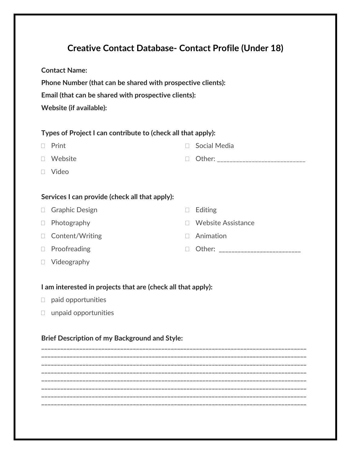# **Creative Contact Database- Contact Profile (Under 18)**

**Contact Name:**

**Phone Number (that can be shared with prospective clients):** 

**Email (that can be shared with prospective clients):** 

**Website (if available):**

## **Types of Project I can contribute to (check all that apply):**

| $\Box$ Print   | $\Box$ Social Media |
|----------------|---------------------|
| $\Box$ Website | $\Box$ Other:       |
| $\Box$ Video   |                     |

D Editing

Animation

□ Website Assistance

□ Other: \_\_\_\_\_\_\_\_\_\_\_\_\_\_\_\_\_\_\_\_\_\_\_\_\_\_\_\_

### **Services I can provide (check all that apply):**

| □ Graphic Design |  |
|------------------|--|
|------------------|--|

- Photography
- □ Content/Writing
- D Proofreading
- □ Videography

### **I am interested in projects that are (check all that apply):**

- $\Box$  paid opportunities
- unpaid opportunities

### **Brief Description of my Background and Style:**